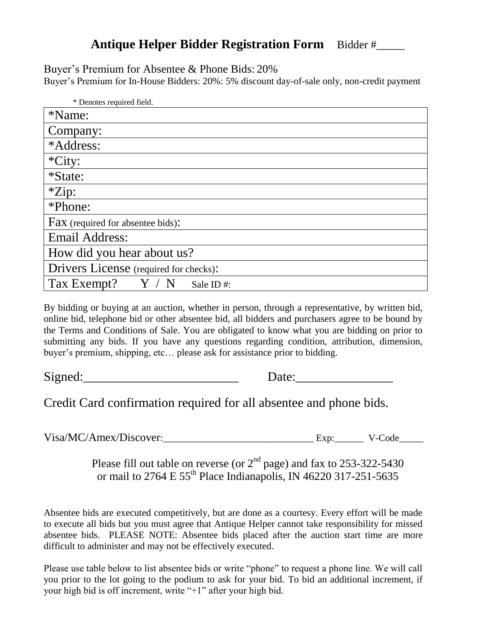## **Antique Helper Bidder Registration Form** Bidder #

Buyer's Premium for Absentee & Phone Bids: 20%

Buyer's Premium for In-House Bidders: 20%: 5% discount day-of-sale only, non-credit payment

| * Denotes required field.              |  |  |
|----------------------------------------|--|--|
| *Name:                                 |  |  |
| Company:                               |  |  |
| *Address:                              |  |  |
| $*City:$                               |  |  |
| *State:                                |  |  |
| $*Zip:$                                |  |  |
| *Phone:                                |  |  |
| Fax (required for absentee bids):      |  |  |
| <b>Email Address:</b>                  |  |  |
| How did you hear about us?             |  |  |
| Drivers License (required for checks): |  |  |
| Tax Exempt?<br>Sale ID#:               |  |  |

By bidding or buying at an auction, whether in person, through a representative, by written bid, online bid, telephone bid or other absentee bid, all bidders and purchasers agree to be bound by the Terms and Conditions of Sale. You are obligated to know what you are bidding on prior to submitting any bids. If you have any questions regarding condition, attribution, dimension, buyer's premium, shipping, etc… please ask for assistance prior to bidding.

Signed:\_\_\_\_\_\_\_\_\_\_\_\_\_\_\_\_\_\_\_\_\_\_\_\_ Date:\_\_\_\_\_\_\_\_\_\_\_\_\_\_\_

Credit Card confirmation required for all absentee and phone bids.

Visa/MC/Amex/Discover:\_\_\_\_\_\_\_\_\_\_\_\_\_\_\_\_\_\_\_\_\_\_\_\_\_\_\_\_\_\_\_ Exp:\_\_\_\_\_\_ V-Code\_\_\_\_\_

Please fill out table on reverse (or  $2<sup>nd</sup>$  page) and fax to 253-322-5430 or mail to 2764 E 55<sup>th</sup> Place Indianapolis, IN 46220 317-251-5635

Absentee bids are executed competitively, but are done as a courtesy. Every effort will be made to execute all bids but you must agree that Antique Helper cannot take responsibility for missed absentee bids. PLEASE NOTE: Absentee bids placed after the auction start time are more difficult to administer and may not be effectively executed.

Please use table below to list absentee bids or write "phone" to request a phone line. We will call you prior to the lot going to the podium to ask for your bid. To bid an additional increment, if your high bid is off increment, write "+1" after your high bid.